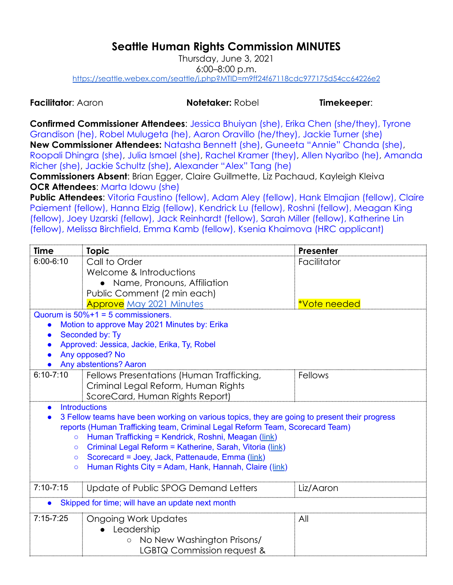## **Seattle Human Rights Commission MINUTES**

Thursday, June 3, 2021 6:00–8:00 p.m. <https://seattle.webex.com/seattle/j.php?MTID=m9ff24f67118cdc977175d54cc64226e2>

**Facilitator**: Aaron **Notetaker:** Robel **Timekeeper**:

**Confirmed Commissioner Attendees**: Jessica Bhuiyan (she), Erika Chen (she/they), Tyrone Grandison (he), Robel Mulugeta (he), Aaron Oravillo (he/they), Jackie Turner (she) **New Commissioner Attendees:** Natasha Bennett (she), Guneeta "Annie" Chanda (she), Roopali Dhingra (she), Julia Ismael (she), Rachel Kramer (they), Allen Nyaribo (he), Amanda Richer (she), Jackie Schultz (she), Alexander "Alex" Tang (he)

**Commissioners Absent**: Brian Egger, Claire Guillmette, Liz Pachaud, Kayleigh Kleiva **OCR Attendees**: Marta Idowu (she)

**Public Attendees**: Vitoria Faustino (fellow), Adam Aley (fellow), Hank Elmajian (fellow), Claire Paiement (fellow), Hanna Elzig (fellow), Kendrick Lu (fellow), Roshni (fellow), Meagan King (fellow), Joey Uzarski (fellow), Jack Reinhardt (fellow), Sarah Miller (fellow), Katherine Lin (fellow), Melissa Birchfield, Emma Kamb (fellow), Ksenia Khaimova (HRC applicant)

| Time                                                                                         | <b>Topic</b>                                             | Presenter    |  |  |
|----------------------------------------------------------------------------------------------|----------------------------------------------------------|--------------|--|--|
| $6:00 - 6:10$                                                                                | Call to Order                                            | Facilitator  |  |  |
|                                                                                              | Welcome & Introductions                                  |              |  |  |
|                                                                                              | • Name, Pronouns, Affiliation                            |              |  |  |
|                                                                                              | Public Comment (2 min each)                              |              |  |  |
|                                                                                              | <b>Approve</b> May 2021 Minutes                          | *Vote needed |  |  |
| Quorum is $50\% + 1 = 5$ commissioners.                                                      |                                                          |              |  |  |
| Motion to approve May 2021 Minutes by: Erika                                                 |                                                          |              |  |  |
| Seconded by: Ty                                                                              |                                                          |              |  |  |
| Approved: Jessica, Jackie, Erika, Ty, Robel                                                  |                                                          |              |  |  |
| Any opposed? No<br><b>Any abstentions? Aaron</b>                                             |                                                          |              |  |  |
| $6:10 - 7:10$                                                                                | Fellows Presentations (Human Trafficking,                | Fellows      |  |  |
|                                                                                              | Criminal Legal Reform, Human Rights                      |              |  |  |
|                                                                                              | ScoreCard, Human Rights Report)                          |              |  |  |
|                                                                                              | <b>Introductions</b>                                     |              |  |  |
| 3 Fellow teams have been working on various topics, they are going to present their progress |                                                          |              |  |  |
| reports (Human Trafficking team, Criminal Legal Reform Team, Scorecard Team)                 |                                                          |              |  |  |
| Human Trafficking = Kendrick, Roshni, Meagan (link)<br>$\circ$                               |                                                          |              |  |  |
| $\circ$                                                                                      | Criminal Legal Reform = Katherine, Sarah, Vitoria (link) |              |  |  |
| $\circ$                                                                                      | Scorecard = Joey, Jack, Pattenaude, Emma (link)          |              |  |  |
| Human Rights City = Adam, Hank, Hannah, Claire (link)<br>$\circ$                             |                                                          |              |  |  |
|                                                                                              |                                                          |              |  |  |
| $7:10 - 7:15$                                                                                | Update of Public SPOG Demand Letters                     | Liz/Aaron    |  |  |
| Skipped for time; will have an update next month                                             |                                                          |              |  |  |
| $7:15 - 7:25$                                                                                | <b>Ongoing Work Updates</b>                              | All          |  |  |
|                                                                                              | Leadership                                               |              |  |  |
|                                                                                              | No New Washington Prisons/<br>$\circ$                    |              |  |  |
|                                                                                              | LGBTQ Commission request &                               |              |  |  |